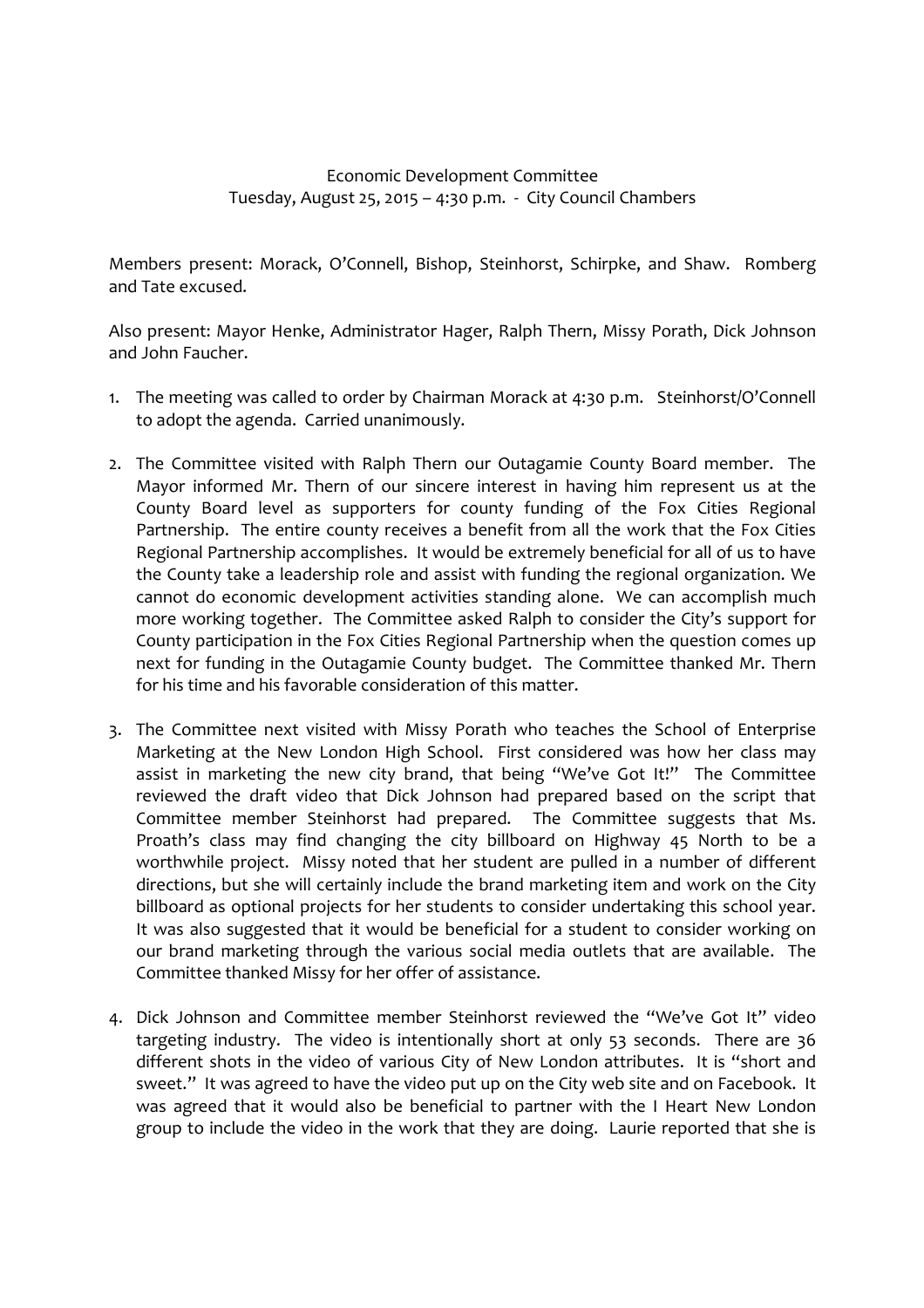## Economic Development Committee Tuesday, August 25, 2015 – 4:30 p.m. - City Council Chambers

Members present: Morack, O'Connell, Bishop, Steinhorst, Schirpke, and Shaw. Romberg and Tate excused.

Also present: Mayor Henke, Administrator Hager, Ralph Thern, Missy Porath, Dick Johnson and John Faucher.

- 1. The meeting was called to order by Chairman Morack at 4:30 p.m. Steinhorst/O'Connell to adopt the agenda. Carried unanimously.
- 2. The Committee visited with Ralph Thern our Outagamie County Board member. The Mayor informed Mr. Thern of our sincere interest in having him represent us at the County Board level as supporters for county funding of the Fox Cities Regional Partnership. The entire county receives a benefit from all the work that the Fox Cities Regional Partnership accomplishes. It would be extremely beneficial for all of us to have the County take a leadership role and assist with funding the regional organization. We cannot do economic development activities standing alone. We can accomplish much more working together. The Committee asked Ralph to consider the City's support for County participation in the Fox Cities Regional Partnership when the question comes up next for funding in the Outagamie County budget. The Committee thanked Mr. Thern for his time and his favorable consideration of this matter.
- 3. The Committee next visited with Missy Porath who teaches the School of Enterprise Marketing at the New London High School. First considered was how her class may assist in marketing the new city brand, that being "We've Got It!" The Committee reviewed the draft video that Dick Johnson had prepared based on the script that Committee member Steinhorst had prepared. The Committee suggests that Ms. Proath's class may find changing the city billboard on Highway 45 North to be a worthwhile project. Missy noted that her student are pulled in a number of different directions, but she will certainly include the brand marketing item and work on the City billboard as optional projects for her students to consider undertaking this school year. It was also suggested that it would be beneficial for a student to consider working on our brand marketing through the various social media outlets that are available. The Committee thanked Missy for her offer of assistance.
- 4. Dick Johnson and Committee member Steinhorst reviewed the "We've Got It" video targeting industry. The video is intentionally short at only 53 seconds. There are 36 different shots in the video of various City of New London attributes. It is "short and sweet." It was agreed to have the video put up on the City web site and on Facebook. It was agreed that it would also be beneficial to partner with the I Heart New London group to include the video in the work that they are doing. Laurie reported that she is